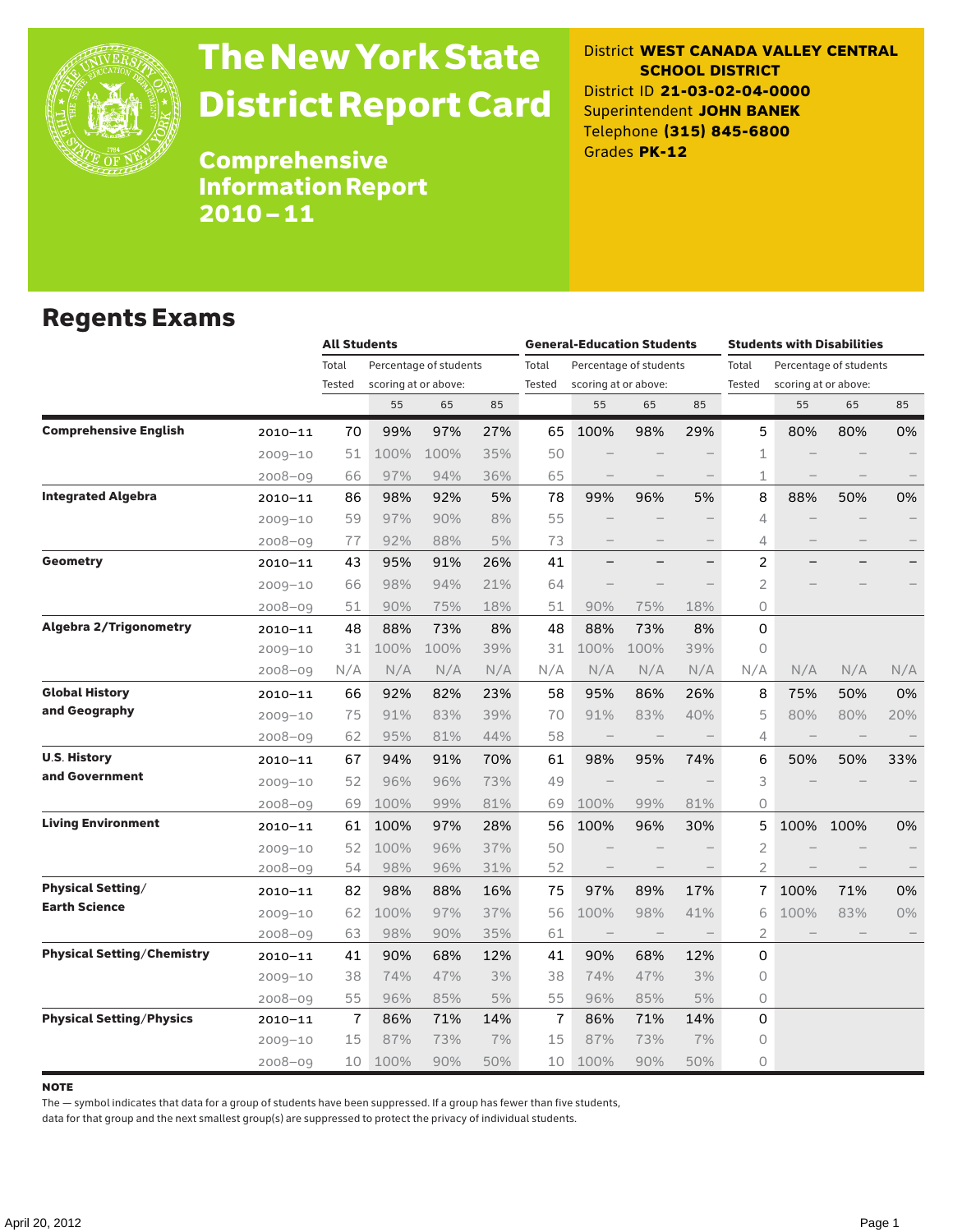

# The New York State District Report Card

District **WEST CANADA VALLEY CENTRAL SCHOOL DISTRICT** District ID **21-03-02-04-0000** Superintendent **JOHN BANEK** Telephone **(315) 845-6800** Grades **PK-12**

Comprehensive Information Report 2010–11

#### Regents Exams

|                                   |             |                 | <b>All Students</b> |                                                |     |                 | <b>General-Education Students</b> |                                                |     |                 | <b>Students with Disabilities</b> |                                                |     |  |
|-----------------------------------|-------------|-----------------|---------------------|------------------------------------------------|-----|-----------------|-----------------------------------|------------------------------------------------|-----|-----------------|-----------------------------------|------------------------------------------------|-----|--|
|                                   |             | Total<br>Tested |                     | Percentage of students<br>scoring at or above: |     | Total<br>Tested |                                   | Percentage of students<br>scoring at or above: |     | Total<br>Tested |                                   | Percentage of students<br>scoring at or above: |     |  |
|                                   |             |                 | 55                  | 65                                             | 85  |                 | 55                                | 65                                             | 85  |                 | 55                                | 65                                             | 85  |  |
| <b>Comprehensive English</b>      | $2010 - 11$ | 70              | 99%                 | 97%                                            | 27% | 65              | 100%                              | 98%                                            | 29% | 5               | 80%                               | 80%                                            | 0%  |  |
|                                   | 2009-10     | 51              | 100%                | 100%                                           | 35% | 50              |                                   |                                                |     | 1               |                                   |                                                |     |  |
|                                   | 2008-09     | 66              | 97%                 | 94%                                            | 36% | 65              |                                   |                                                |     | 1               |                                   |                                                |     |  |
| <b>Integrated Algebra</b>         | $2010 - 11$ | 86              | 98%                 | 92%                                            | 5%  | 78              | 99%                               | 96%                                            | 5%  | 8               | 88%                               | 50%                                            | 0%  |  |
|                                   | $2009 - 10$ | 59              | 97%                 | 90%                                            | 8%  | 55              |                                   |                                                |     | 4               |                                   |                                                |     |  |
|                                   | 2008-09     | 77              | 92%                 | 88%                                            | 5%  | 73              |                                   |                                                |     | 4               |                                   |                                                |     |  |
| <b>Geometry</b>                   | 2010-11     | 43              | 95%                 | 91%                                            | 26% | 41              |                                   |                                                |     | $\overline{c}$  |                                   |                                                |     |  |
|                                   | $2009 - 10$ | 66              | 98%                 | 94%                                            | 21% | 64              |                                   |                                                |     | 2               |                                   |                                                |     |  |
|                                   | $2008 - 09$ | 51              | 90%                 | 75%                                            | 18% | 51              | 90%                               | 75%                                            | 18% | 0               |                                   |                                                |     |  |
| <b>Algebra 2/Trigonometry</b>     | $2010 - 11$ | 48              | 88%                 | 73%                                            | 8%  | 48              | 88%                               | 73%                                            | 8%  | 0               |                                   |                                                |     |  |
|                                   | 2009-10     | 31              | 100%                | 100%                                           | 39% | 31              | 100%                              | 100%                                           | 39% | $\circ$         |                                   |                                                |     |  |
|                                   | 2008-09     | N/A             | N/A                 | N/A                                            | N/A | N/A             | N/A                               | N/A                                            | N/A | N/A             | N/A                               | N/A                                            | N/A |  |
| <b>Global History</b>             | $2010 - 11$ | 66              | 92%                 | 82%                                            | 23% | 58              | 95%                               | 86%                                            | 26% | 8               | 75%                               | 50%                                            | 0%  |  |
| and Geography                     | $2009 - 10$ | 75              | 91%                 | 83%                                            | 39% | 70              | 91%                               | 83%                                            | 40% | 5               | 80%                               | 80%                                            | 20% |  |
|                                   | $2008 - 09$ | 62              | 95%                 | 81%                                            | 44% | 58              |                                   |                                                |     | 4               |                                   |                                                |     |  |
| <b>U.S. History</b>               | 2010-11     | 67              | 94%                 | 91%                                            | 70% | 61              | 98%                               | 95%                                            | 74% | 6               | 50%                               | 50%                                            | 33% |  |
| and Government                    | 2009-10     | 52              | 96%                 | 96%                                            | 73% | 49              |                                   |                                                |     | 3               |                                   |                                                |     |  |
|                                   | $2008 - 09$ | 69              | 100%                | 99%                                            | 81% | 69              | 100%                              | 99%                                            | 81% | $\circ$         |                                   |                                                |     |  |
| <b>Living Environment</b>         | 2010-11     | 61              | 100%                | 97%                                            | 28% | 56              | 100%                              | 96%                                            | 30% | 5               | 100%                              | 100%                                           | 0%  |  |
|                                   | $2009 - 10$ | 52              | 100%                | 96%                                            | 37% | 50              |                                   |                                                |     | 2               |                                   |                                                |     |  |
|                                   | 2008-09     | 54              | 98%                 | 96%                                            | 31% | 52              | $\hspace{0.1mm}-\hspace{0.1mm}$   | $\qquad \qquad -$                              |     | $\overline{2}$  |                                   |                                                |     |  |
| <b>Physical Setting/</b>          | 2010-11     | 82              | 98%                 | 88%                                            | 16% | 75              | 97%                               | 89%                                            | 17% | 7               | 100%                              | 71%                                            | 0%  |  |
| <b>Earth Science</b>              | $2009 - 10$ | 62              | 100%                | 97%                                            | 37% | 56              | 100%                              | 98%                                            | 41% | 6               | 100%                              | 83%                                            | 0%  |  |
|                                   | 2008-09     | 63              | 98%                 | 90%                                            | 35% | 61              | $\overline{\phantom{m}}$          | $\qquad \qquad -$                              |     | 2               |                                   |                                                |     |  |
| <b>Physical Setting/Chemistry</b> | 2010-11     | 41              | 90%                 | 68%                                            | 12% | 41              | 90%                               | 68%                                            | 12% | 0               |                                   |                                                |     |  |
|                                   | 2009-10     | 38              | 74%                 | 47%                                            | 3%  | 38              | 74%                               | 47%                                            | 3%  | $\circ$         |                                   |                                                |     |  |
|                                   | $2008 - 09$ | 55              | 96%                 | 85%                                            | 5%  | 55              | 96%                               | 85%                                            | 5%  | $\circ$         |                                   |                                                |     |  |
| <b>Physical Setting/Physics</b>   | 2010-11     | 7               | 86%                 | 71%                                            | 14% | $\overline{1}$  | 86%                               | 71%                                            | 14% | 0               |                                   |                                                |     |  |
|                                   | $2009 - 10$ | 15              | 87%                 | 73%                                            | 7%  | 15              | 87%                               | 73%                                            | 7%  | $\circ$         |                                   |                                                |     |  |
|                                   | 2008-09     | 10              | 100%                | 90%                                            | 50% | 10              | 100%                              | 90%                                            | 50% | 0               |                                   |                                                |     |  |

#### note

The — symbol indicates that data for a group of students have been suppressed. If a group has fewer than five students,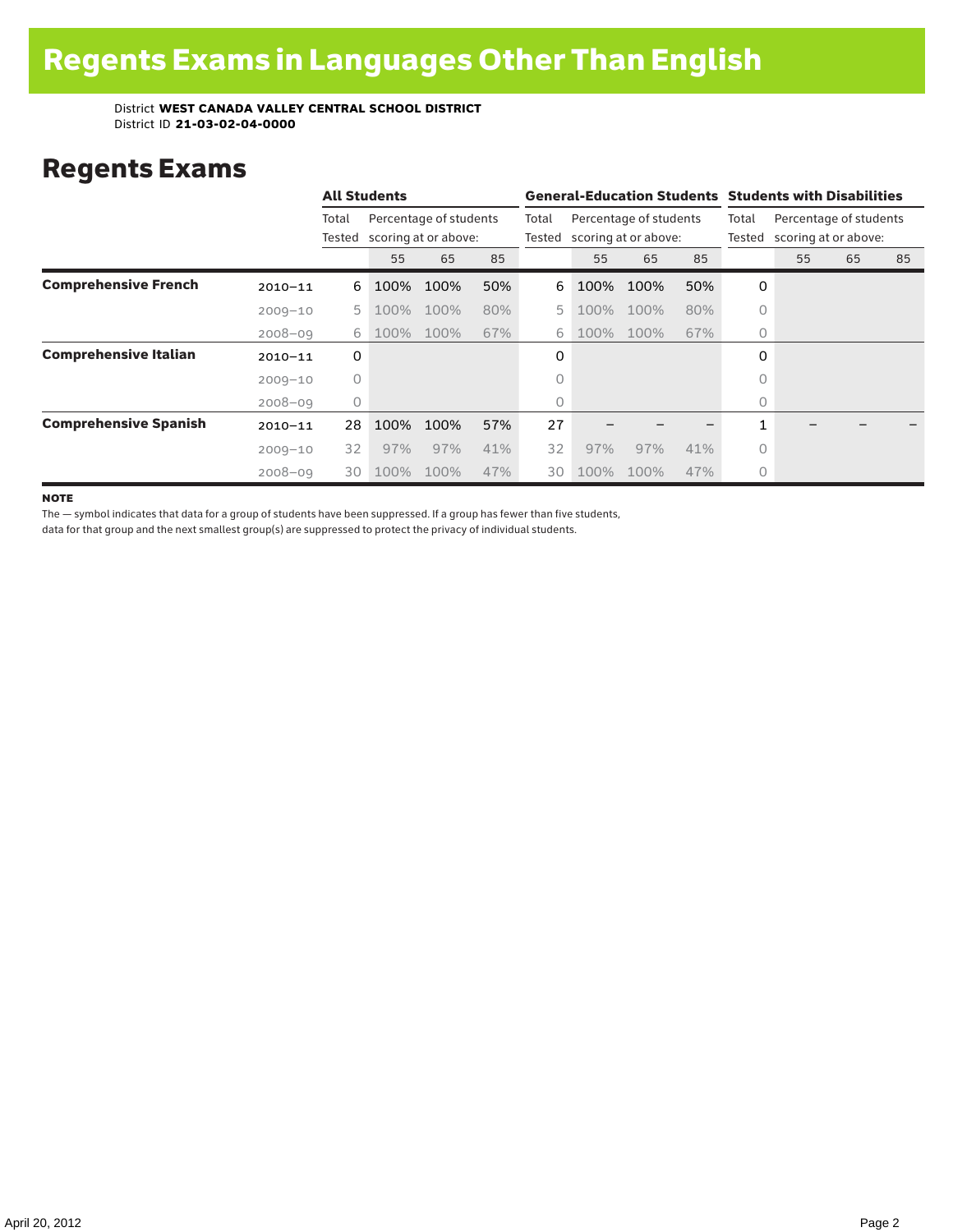### Regents Exams

|                              |             |                 | <b>All Students</b>                            |      |     |                 | <b>General-Education Students Students with Disabilities</b> |      |                 |                                                |    |    |    |  |
|------------------------------|-------------|-----------------|------------------------------------------------|------|-----|-----------------|--------------------------------------------------------------|------|-----------------|------------------------------------------------|----|----|----|--|
|                              |             | Total<br>Tested | Percentage of students<br>scoring at or above: |      |     | Total<br>Tested | Percentage of students<br>scoring at or above:               |      | Total<br>Tested | Percentage of students<br>scoring at or above: |    |    |    |  |
|                              |             |                 | 55                                             | 65   | 85  |                 | 55                                                           | 65   | 85              |                                                | 55 | 65 | 85 |  |
| <b>Comprehensive French</b>  | $2010 - 11$ | 6               | 100%                                           | 100% | 50% | 6               | 100%                                                         | 100% | 50%             | 0                                              |    |    |    |  |
|                              | $2009 - 10$ | 5 <sup>1</sup>  | 100%                                           | 100% | 80% | 5.              | 100%                                                         | 100% | 80%             | 0                                              |    |    |    |  |
|                              | $2008 - 09$ | 6               | 100%                                           | 100% | 67% | 6               | 100%                                                         | 100% | 67%             | $\circ$                                        |    |    |    |  |
| <b>Comprehensive Italian</b> | $2010 - 11$ | $\mathbf 0$     |                                                |      |     | 0               |                                                              |      |                 | 0                                              |    |    |    |  |
|                              | $2009 - 10$ | $\circ$         |                                                |      |     | 0               |                                                              |      |                 | $\bigcap$                                      |    |    |    |  |
|                              | $2008 - 09$ | $\circ$         |                                                |      |     | 0               |                                                              |      |                 | $\circ$                                        |    |    |    |  |
| <b>Comprehensive Spanish</b> | $2010 - 11$ | 28              | 100%                                           | 100% | 57% | 27              |                                                              |      |                 |                                                |    |    |    |  |
|                              | $2009 - 10$ | 32              | 97%                                            | 97%  | 41% | 32              | 97%                                                          | 97%  | 41%             | $\circ$                                        |    |    |    |  |
|                              | $2008 - 09$ | 30              | 100%                                           | 100% | 47% | 30              | 100%                                                         | 100% | 47%             | 0                                              |    |    |    |  |

**NOTE** 

The — symbol indicates that data for a group of students have been suppressed. If a group has fewer than five students,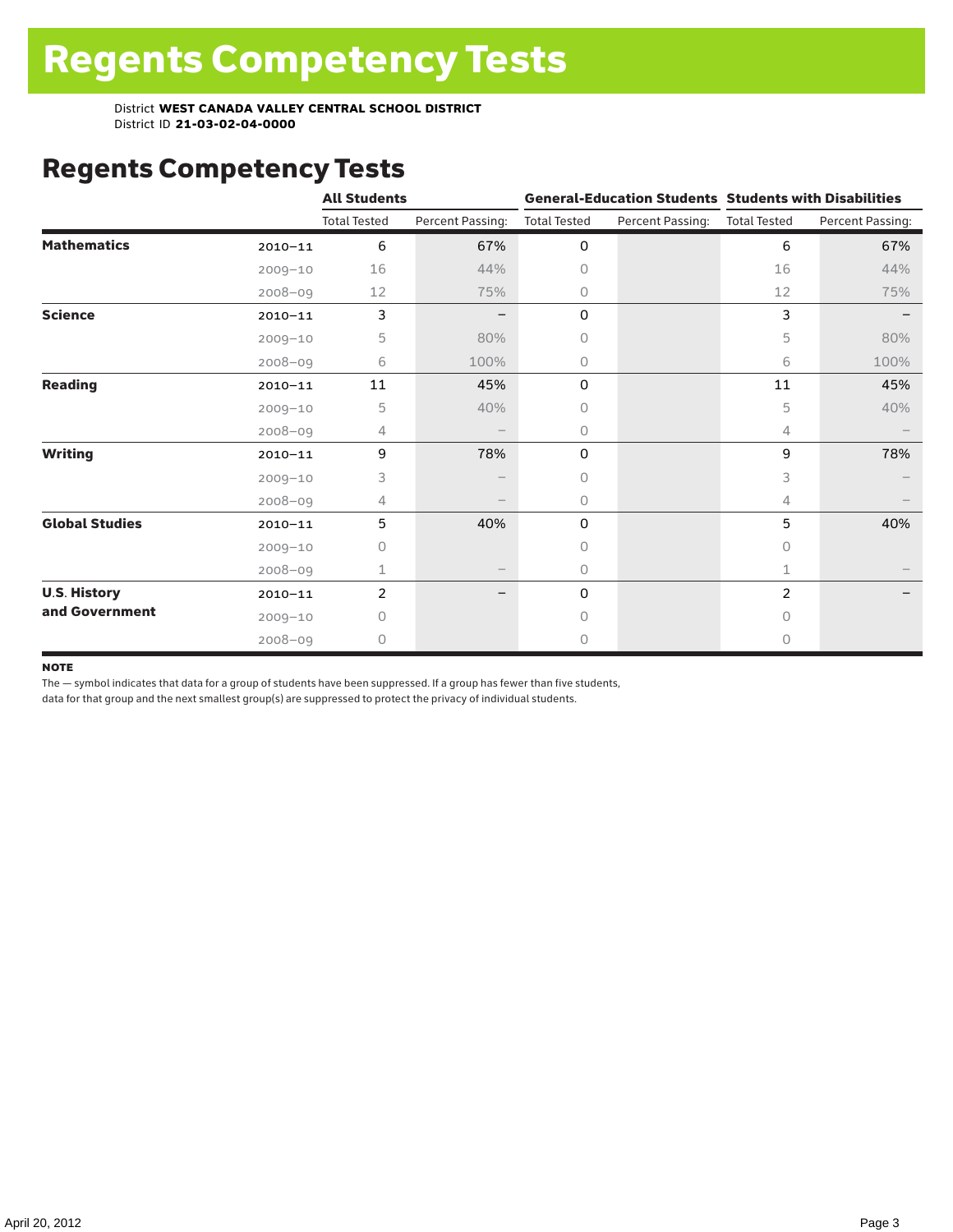# Regents Competency Tests

|                       |             | <b>All Students</b> |                  |                     |                  | <b>General-Education Students Students with Disabilities</b> |                  |  |
|-----------------------|-------------|---------------------|------------------|---------------------|------------------|--------------------------------------------------------------|------------------|--|
|                       |             | <b>Total Tested</b> | Percent Passing: | <b>Total Tested</b> | Percent Passing: | <b>Total Tested</b>                                          | Percent Passing: |  |
| <b>Mathematics</b>    | $2010 - 11$ | 6                   | 67%              | 0                   |                  | 6                                                            | 67%              |  |
|                       | $2009 - 10$ | 16                  | 44%              | 0                   |                  | 16                                                           | 44%              |  |
|                       | $2008 - 09$ | 12                  | 75%              | 0                   |                  | 12                                                           | 75%              |  |
| <b>Science</b>        | $2010 - 11$ | 3                   |                  | 0                   |                  | 3                                                            |                  |  |
|                       | $2009 - 10$ | 5                   | 80%              | 0                   |                  | 5                                                            | 80%              |  |
|                       | $2008 - 09$ | 6                   | 100%             | 0                   |                  | 6                                                            | 100%             |  |
| <b>Reading</b>        | $2010 - 11$ | 11                  | 45%              | 0                   |                  | 11                                                           | 45%              |  |
|                       | $2009 - 10$ | 5                   | 40%              | 0                   |                  | 5                                                            | 40%              |  |
|                       | $2008 - 09$ | 4                   |                  | 0                   |                  | 4                                                            |                  |  |
| <b>Writing</b>        | $2010 - 11$ | 9                   | 78%              | 0                   |                  | 9                                                            | 78%              |  |
|                       | $2009 - 10$ | 3                   |                  | 0                   |                  | 3                                                            |                  |  |
|                       | $2008 - 09$ | 4                   |                  | 0                   |                  | 4                                                            |                  |  |
| <b>Global Studies</b> | $2010 - 11$ | 5                   | 40%              | 0                   |                  | 5                                                            | 40%              |  |
|                       | $2009 - 10$ | 0                   |                  | 0                   |                  | 0                                                            |                  |  |
|                       | $2008 - 09$ | 1                   |                  | 0                   |                  |                                                              |                  |  |
| <b>U.S. History</b>   | $2010 - 11$ | 2                   |                  | 0                   |                  | $\overline{2}$                                               |                  |  |
| and Government        | $2009 - 10$ | Ω                   |                  | $\bigcap$           |                  | $\Omega$                                                     |                  |  |
|                       | $2008 - 09$ | 0                   |                  | 0                   |                  | $\circ$                                                      |                  |  |

#### **NOTE**

The — symbol indicates that data for a group of students have been suppressed. If a group has fewer than five students,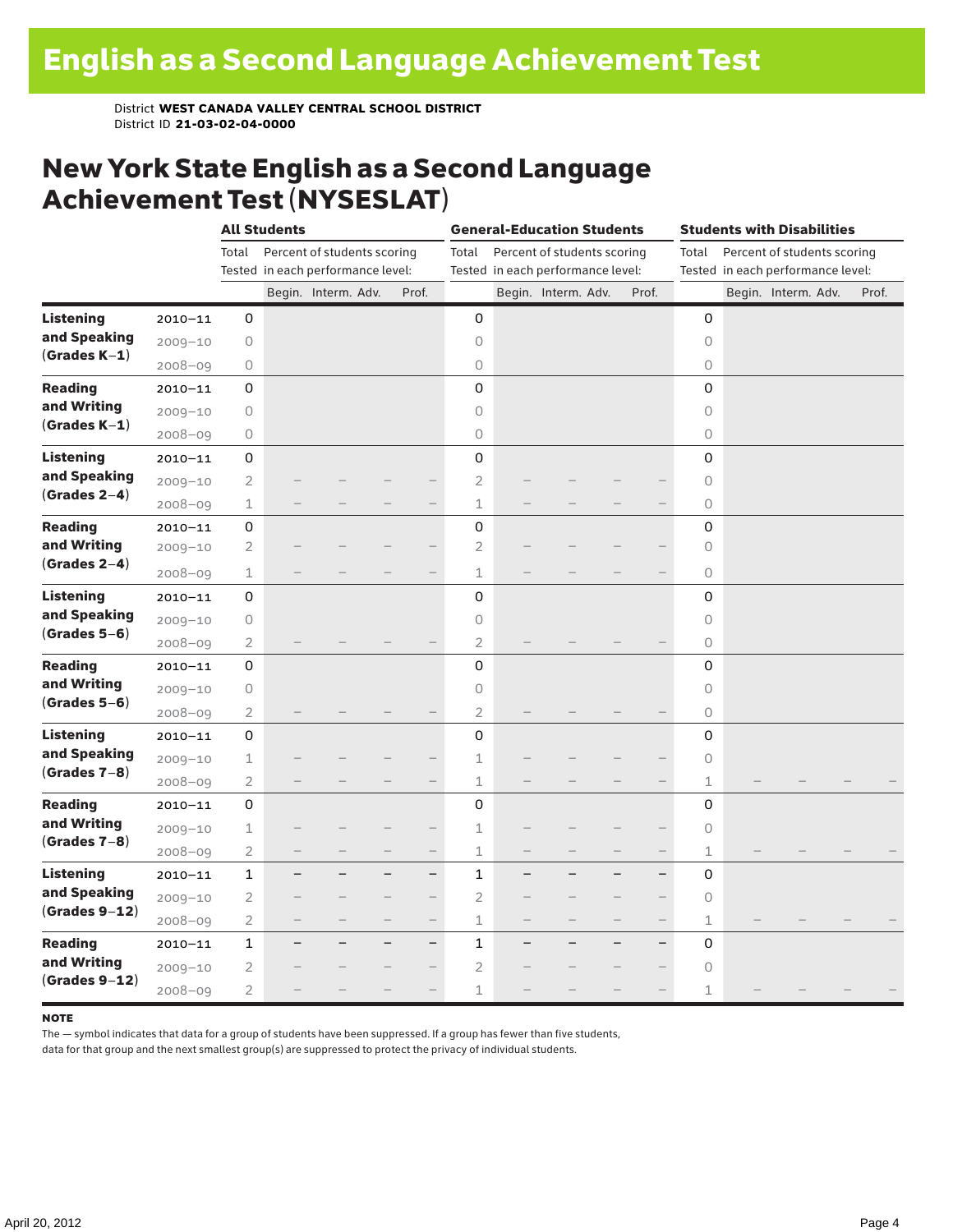### New York State English as a Second Language Achievement Test (NYSESLAT)

|                  |             |                | <b>All Students</b> |                                   |                          | <b>General-Education Students</b> |  |                                   | <b>Students with Disabilities</b> |                          |         |  |                                   |       |  |
|------------------|-------------|----------------|---------------------|-----------------------------------|--------------------------|-----------------------------------|--|-----------------------------------|-----------------------------------|--------------------------|---------|--|-----------------------------------|-------|--|
|                  |             | Total          |                     | Percent of students scoring       |                          | Total                             |  | Percent of students scoring       |                                   |                          | Total   |  | Percent of students scoring       |       |  |
|                  |             |                |                     | Tested in each performance level: |                          |                                   |  | Tested in each performance level: |                                   |                          |         |  | Tested in each performance level: |       |  |
|                  |             |                |                     | Begin. Interm. Adv.               | Prof.                    |                                   |  | Begin. Interm. Adv.               |                                   | Prof.                    |         |  | Begin. Interm. Adv.               | Prof. |  |
| <b>Listening</b> | $2010 - 11$ | 0              |                     |                                   |                          | 0                                 |  |                                   |                                   |                          | 0       |  |                                   |       |  |
| and Speaking     | $2009 - 10$ | 0              |                     |                                   |                          | $\circ$                           |  |                                   |                                   |                          | $\circ$ |  |                                   |       |  |
| $(Grades K-1)$   | $2008 - 09$ | 0              |                     |                                   |                          | 0                                 |  |                                   |                                   |                          | 0       |  |                                   |       |  |
| <b>Reading</b>   | $2010 - 11$ | 0              |                     |                                   |                          | 0                                 |  |                                   |                                   |                          | 0       |  |                                   |       |  |
| and Writing      | $2009 - 10$ | 0              |                     |                                   |                          | $\circ$                           |  |                                   |                                   |                          | 0       |  |                                   |       |  |
| $(Grades K-1)$   | $2008 - 09$ | 0              |                     |                                   |                          | $\circ$                           |  |                                   |                                   |                          | 0       |  |                                   |       |  |
| <b>Listening</b> | $2010 - 11$ | 0              |                     |                                   |                          | 0                                 |  |                                   |                                   |                          | 0       |  |                                   |       |  |
| and Speaking     | $2009 - 10$ | $\overline{2}$ |                     |                                   |                          | $\overline{2}$                    |  |                                   |                                   |                          | $\circ$ |  |                                   |       |  |
| $(Grades 2-4)$   | $2008 - 09$ | $\mathbf 1$    |                     |                                   |                          | $\mathbf 1$                       |  |                                   |                                   |                          | 0       |  |                                   |       |  |
| <b>Reading</b>   | $2010 - 11$ | 0              |                     |                                   |                          | 0                                 |  |                                   |                                   |                          | 0       |  |                                   |       |  |
| and Writing      | $2009 - 10$ | $\mathbf{2}$   |                     |                                   |                          | $\overline{2}$                    |  |                                   |                                   |                          | 0       |  |                                   |       |  |
| $(Grades 2-4)$   | $2008 - 09$ | $\mathbf 1$    |                     |                                   |                          | $\mathbf{1}$                      |  |                                   |                                   |                          | 0       |  |                                   |       |  |
| <b>Listening</b> | $2010 - 11$ | 0              |                     |                                   |                          | 0                                 |  |                                   |                                   |                          | 0       |  |                                   |       |  |
| and Speaking     | $2009 - 10$ | 0              |                     |                                   |                          | 0                                 |  |                                   |                                   |                          | 0       |  |                                   |       |  |
| $(Grades 5-6)$   | $2008 - 09$ | $\mathbf{2}$   |                     |                                   |                          | $\overline{c}$                    |  |                                   |                                   |                          | 0       |  |                                   |       |  |
| <b>Reading</b>   | $2010 - 11$ | 0              |                     |                                   |                          | 0                                 |  |                                   |                                   |                          | 0       |  |                                   |       |  |
| and Writing      | $2009 - 10$ | 0              |                     |                                   |                          | $\circ$                           |  |                                   |                                   |                          | $\circ$ |  |                                   |       |  |
| $(Grades 5-6)$   | $2008 - 09$ | $\overline{2}$ |                     |                                   |                          | $\overline{2}$                    |  |                                   |                                   |                          | 0       |  |                                   |       |  |
| <b>Listening</b> | $2010 - 11$ | 0              |                     |                                   |                          | 0                                 |  |                                   |                                   |                          | 0       |  |                                   |       |  |
| and Speaking     | $2009 - 10$ | $\mathbf 1$    |                     |                                   |                          | $\mathbf 1$                       |  |                                   |                                   |                          | $\circ$ |  |                                   |       |  |
| $(Grades 7-8)$   | $2008 - 09$ | 2              |                     |                                   |                          | $\mathbf{1}$                      |  |                                   |                                   |                          | 1       |  |                                   |       |  |
| <b>Reading</b>   | $2010 - 11$ | 0              |                     |                                   |                          | 0                                 |  |                                   |                                   |                          | 0       |  |                                   |       |  |
| and Writing      | $2009 - 10$ | $\mathbf 1$    |                     |                                   |                          | 1                                 |  |                                   |                                   |                          | 0       |  |                                   |       |  |
| $(Grades 7-8)$   | $2008 - 09$ | $\overline{c}$ |                     |                                   |                          | $\mathbf{1}$                      |  |                                   |                                   |                          | 1       |  |                                   |       |  |
| <b>Listening</b> | $2010 - 11$ | 1              |                     |                                   | $\overline{\phantom{0}}$ | $\mathbf{1}$                      |  |                                   |                                   | $\overline{\phantom{0}}$ | 0       |  |                                   |       |  |
| and Speaking     | $2009 - 10$ | $\mathbf{2}$   |                     |                                   |                          | $\overline{2}$                    |  |                                   |                                   |                          | 0       |  |                                   |       |  |
| $(Grades 9-12)$  | $2008 - 09$ | $\overline{2}$ |                     |                                   | $\overline{\phantom{0}}$ | 1                                 |  |                                   |                                   |                          | 1       |  |                                   |       |  |
| <b>Reading</b>   | $2010 - 11$ | $\mathbf{1}$   |                     |                                   | $\overline{\phantom{0}}$ | $\mathbf{1}$                      |  |                                   |                                   | $\equiv$                 | 0       |  |                                   |       |  |
| and Writing      | $2009 - 10$ | $\overline{2}$ |                     |                                   | $\overline{\phantom{0}}$ | $\overline{c}$                    |  |                                   |                                   |                          | $\circ$ |  |                                   |       |  |
| $(Grades 9-12)$  | $2008 - 09$ | $\overline{2}$ |                     |                                   |                          | $\mathbf 1$                       |  |                                   |                                   |                          | 1       |  |                                   |       |  |

#### note

The — symbol indicates that data for a group of students have been suppressed. If a group has fewer than five students,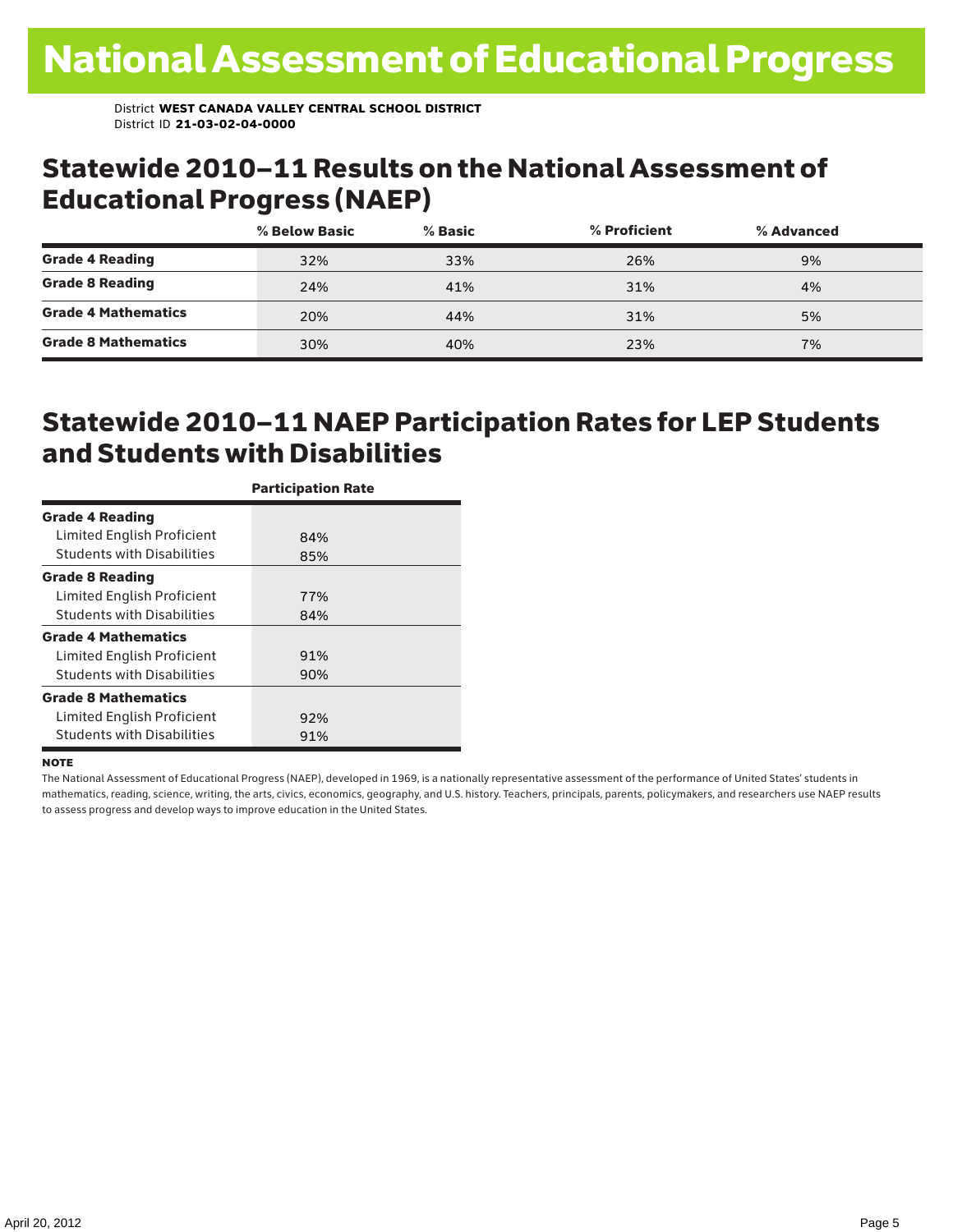### Statewide 2010–11 Results on the National Assessment of Educational Progress (NAEP)

|                            | % Below Basic | $%$ Basic | % Proficient | % Advanced |  |
|----------------------------|---------------|-----------|--------------|------------|--|
| <b>Grade 4 Reading</b>     | 32%           | 33%       | 26%          | 9%         |  |
| <b>Grade 8 Reading</b>     | 24%           | 41%       | 31%          | 4%         |  |
| <b>Grade 4 Mathematics</b> | 20%           | 44%       | 31%          | 5%         |  |
| <b>Grade 8 Mathematics</b> | 30%           | 40%       | 23%          | 7%         |  |

### Statewide 2010–11 NAEP Participation Rates for LEP Students and Students with Disabilities

|                                   | <b>Participation Rate</b> |
|-----------------------------------|---------------------------|
| <b>Grade 4 Reading</b>            |                           |
| Limited English Proficient        | 84%                       |
| <b>Students with Disabilities</b> | 85%                       |
| <b>Grade 8 Reading</b>            |                           |
| Limited English Proficient        | 77%                       |
| <b>Students with Disabilities</b> | 84%                       |
| <b>Grade 4 Mathematics</b>        |                           |
| Limited English Proficient        | 91%                       |
| <b>Students with Disabilities</b> | 90%                       |
| <b>Grade 8 Mathematics</b>        |                           |
| Limited English Proficient        | 92%                       |
| <b>Students with Disabilities</b> | 91%                       |

#### **NOTE**

The National Assessment of Educational Progress (NAEP), developed in 1969, is a nationally representative assessment of the performance of United States' students in mathematics, reading, science, writing, the arts, civics, economics, geography, and U.S. history. Teachers, principals, parents, policymakers, and researchers use NAEP results to assess progress and develop ways to improve education in the United States.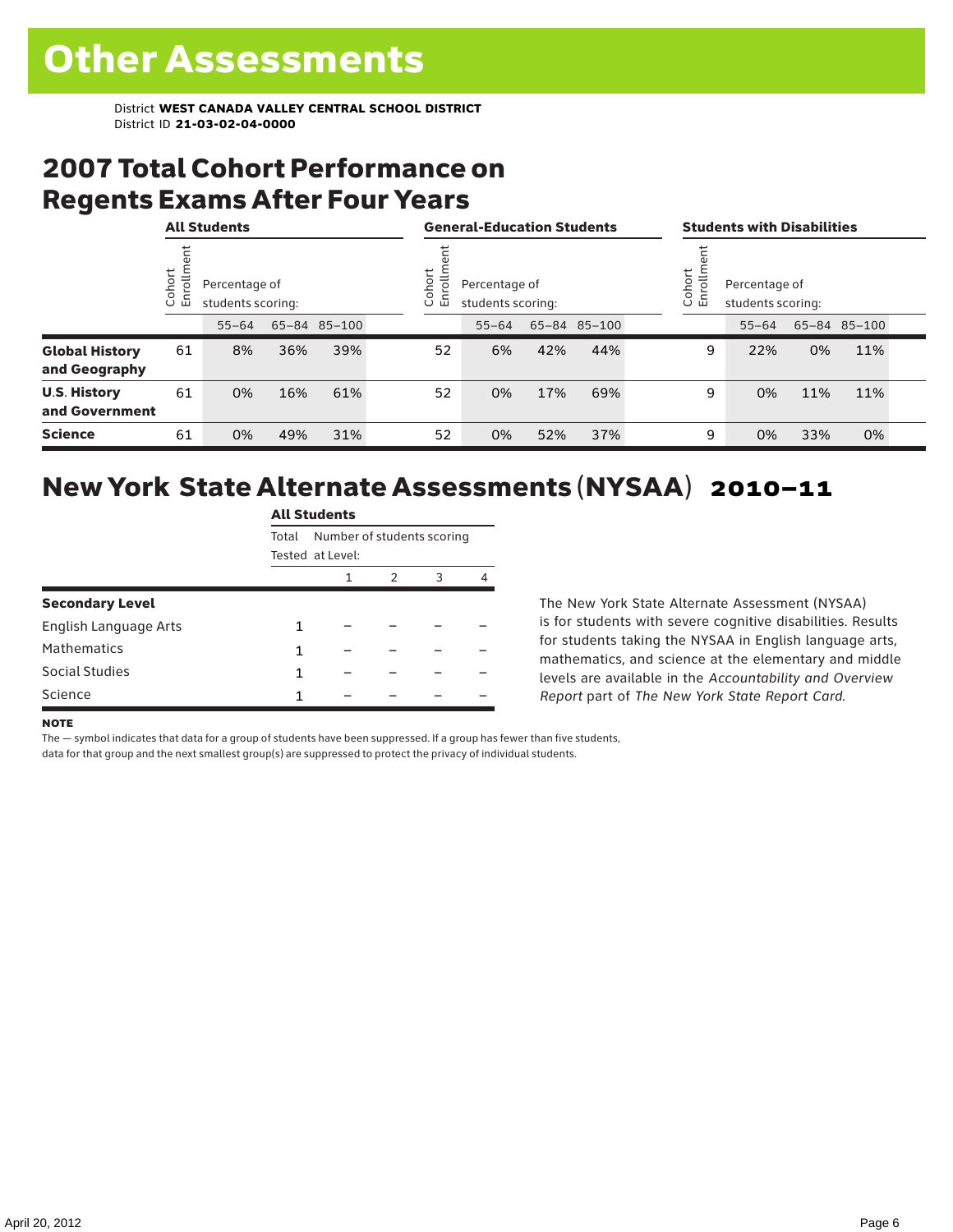### 2007 Total Cohort Performance on Regents Exams After Four Years

|                                        |                        | <b>All Students</b> |                                    |              |  | <b>General-Education Students</b> |                                                                     |     |              |  | <b>Students with Disabilities</b>                       |           |     |              |  |
|----------------------------------------|------------------------|---------------------|------------------------------------|--------------|--|-----------------------------------|---------------------------------------------------------------------|-----|--------------|--|---------------------------------------------------------|-----------|-----|--------------|--|
|                                        | ohort<br>$\circ$<br>ごに |                     | Percentage of<br>students scoring: |              |  |                                   | ohort<br>rolln<br>Percentage of<br>巴<br>students scoring:<br>$\cup$ |     |              |  | Cohort<br>Enrollm<br>Percentage of<br>students scoring: |           |     |              |  |
|                                        |                        | $55 - 64$           |                                    | 65-84 85-100 |  |                                   | $55 - 64$                                                           |     | 65-84 85-100 |  |                                                         | $55 - 64$ |     | 65-84 85-100 |  |
| <b>Global History</b><br>and Geography | 61                     | 8%                  | 36%                                | 39%          |  | 52                                | 6%                                                                  | 42% | 44%          |  | 9                                                       | 22%       | 0%  | 11%          |  |
| <b>U.S. History</b><br>and Government  | 61                     | 0%                  | 16%                                | 61%          |  | 52                                | 0%                                                                  | 17% | 69%          |  | 9                                                       | 0%        | 11% | 11%          |  |
| <b>Science</b>                         | 61                     | 0%                  | 49%                                | 31%          |  | 52                                | 0%                                                                  | 52% | 37%          |  | 9                                                       | 0%        | 33% | 0%           |  |

### New York State Alternate Assessments (NYSAA) 2010–11

|                        | <b>All Students</b>                                     |   |   |   |   |  |  |  |  |  |
|------------------------|---------------------------------------------------------|---|---|---|---|--|--|--|--|--|
|                        | Number of students scoring<br>Total<br>Tested at Level: |   |   |   |   |  |  |  |  |  |
|                        |                                                         | 1 | 2 | 3 | 4 |  |  |  |  |  |
| <b>Secondary Level</b> |                                                         |   |   |   |   |  |  |  |  |  |
| English Language Arts  | 1                                                       |   |   |   |   |  |  |  |  |  |
| Mathematics            | 1                                                       |   |   |   |   |  |  |  |  |  |
| Social Studies         | 1                                                       |   |   |   |   |  |  |  |  |  |
| Science                | 1                                                       |   |   |   |   |  |  |  |  |  |

The New York State Alternate Assessment (NYSAA) is for students with severe cognitive disabilities. Results for students taking the NYSAA in English language arts, mathematics, and science at the elementary and middle levels are available in the *Accountability and Overview Report* part of *The New York State Report Card*.

#### **NOTE**

The — symbol indicates that data for a group of students have been suppressed. If a group has fewer than five students,